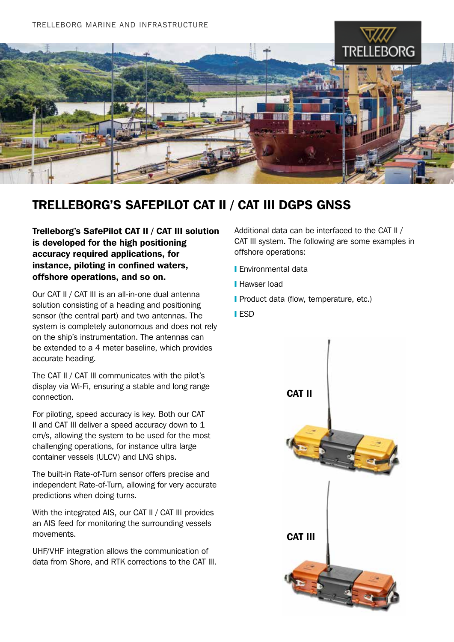

## TRELLEBORG'S SAFEPILOT CAT II / CAT III DGPS GNSS

Trelleborg's SafePilot CAT II / CAT III solution is developed for the high positioning accuracy required applications, for instance, piloting in confined waters, offshore operations, and so on.

Our CAT II / CAT III is an all-in-one dual antenna solution consisting of a heading and positioning sensor (the central part) and two antennas. The system is completely autonomous and does not rely on the ship's instrumentation. The antennas can be extended to a 4 meter baseline, which provides accurate heading.

The CAT II / CAT III communicates with the pilot's display via Wi-Fi, ensuring a stable and long range connection.

For piloting, speed accuracy is key. Both our CAT II and CAT III deliver a speed accuracy down to 1 cm/s, allowing the system to be used for the most challenging operations, for instance ultra large container vessels (ULCV) and LNG ships.

The built-in Rate-of-Turn sensor offers precise and independent Rate-of-Turn, allowing for very accurate predictions when doing turns.

With the integrated AIS, our CAT II / CAT III provides an AIS feed for monitoring the surrounding vessels movements.

UHF/VHF integration allows the communication of data from Shore, and RTK corrections to the CAT III. Additional data can be interfaced to the CAT II / CAT III system. The following are some examples in offshore operations:

- ❙ Environmental data
- **I** Hawser load
- **I** Product data (flow, temperature, etc.)
- ❙ ESD